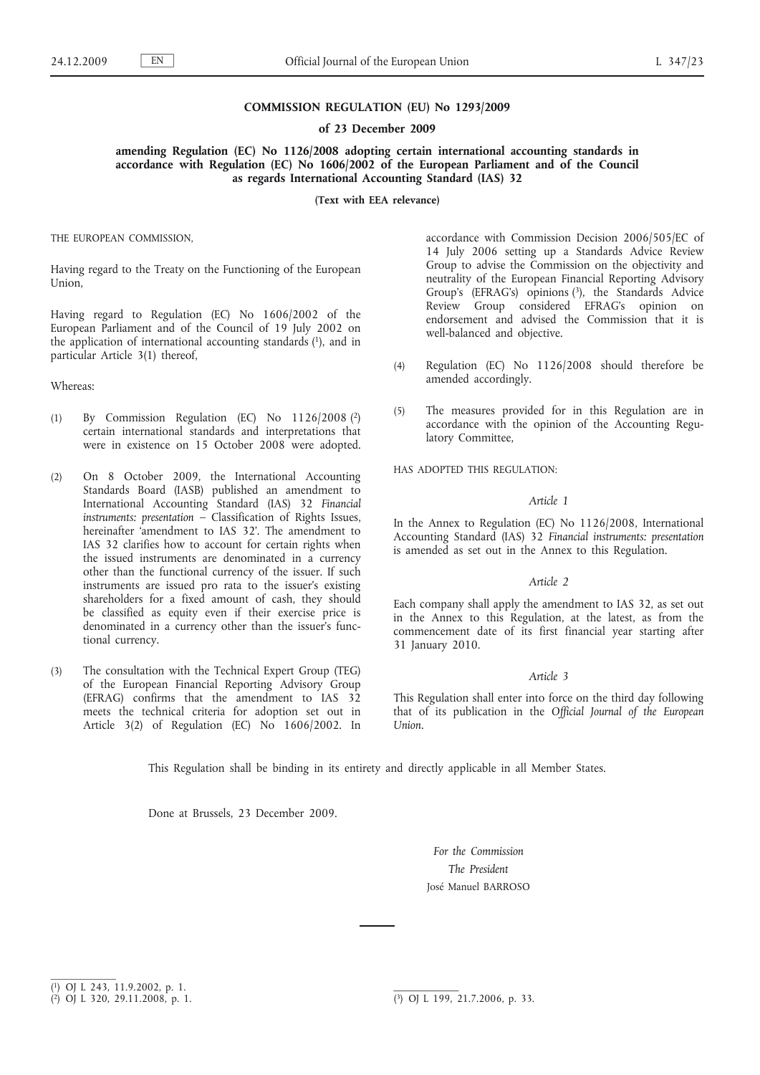## **COMMISSION REGULATION (EU) No 1293/2009**

#### **of 23 December 2009**

**amending Regulation (EC) No 1126/2008 adopting certain international accounting standards in accordance with Regulation (EC) No 1606/2002 of the European Parliament and of the Council as regards International Accounting Standard (IAS) 32**

**(Text with EEA relevance)**

THE EUROPEAN COMMISSION,

Having regard to the Treaty on the Functioning of the European Union,

Having regard to Regulation (EC) No 1606/2002 of the European Parliament and of the Council of 19 July 2002 on the application of international accounting standards (1), and in particular Article 3(1) thereof,

### Whereas:

- (1) By Commission Regulation (EC) No 1126/2008 (2) certain international standards and interpretations that were in existence on 15 October 2008 were adopted.
- (2) On 8 October 2009, the International Accounting Standards Board (IASB) published an amendment to International Accounting Standard (IAS) 32 *Financial instruments: presentation* – Classification of Rights Issues, hereinafter 'amendment to IAS 32'. The amendment to IAS 32 clarifies how to account for certain rights when the issued instruments are denominated in a currency other than the functional currency of the issuer. If such instruments are issued pro rata to the issuer's existing shareholders for a fixed amount of cash, they should be classified as equity even if their exercise price is denominated in a currency other than the issuer's functional currency.
- (3) The consultation with the Technical Expert Group (TEG) of the European Financial Reporting Advisory Group (EFRAG) confirms that the amendment to IAS 32 meets the technical criteria for adoption set out in Article 3(2) of Regulation (EC) No 1606/2002. In

accordance with Commission Decision 2006/505/EC of 14 July 2006 setting up a Standards Advice Review Group to advise the Commission on the objectivity and neutrality of the European Financial Reporting Advisory Group's (EFRAG's) opinions (3), the Standards Advice Review Group considered EFRAG's opinion on endorsement and advised the Commission that it is well-balanced and objective.

- (4) Regulation (EC) No 1126/2008 should therefore be amended accordingly.
- (5) The measures provided for in this Regulation are in accordance with the opinion of the Accounting Regulatory Committee,

HAS ADOPTED THIS REGULATION:

## *Article 1*

In the Annex to Regulation (EC) No 1126/2008, International Accounting Standard (IAS) 32 *Financial instruments: presentation* is amended as set out in the Annex to this Regulation.

# *Article 2*

Each company shall apply the amendment to IAS 32, as set out in the Annex to this Regulation, at the latest, as from the commencement date of its first financial year starting after 31 January 2010.

### *Article 3*

This Regulation shall enter into force on the third day following that of its publication in the *Official Journal of the European Union*.

This Regulation shall be binding in its entirety and directly applicable in all Member States.

Done at Brussels, 23 December 2009.

*For the Commission The President* José Manuel BARROSO

<sup>(</sup> 1) OJ L 243, 11.9.2002, p. 1.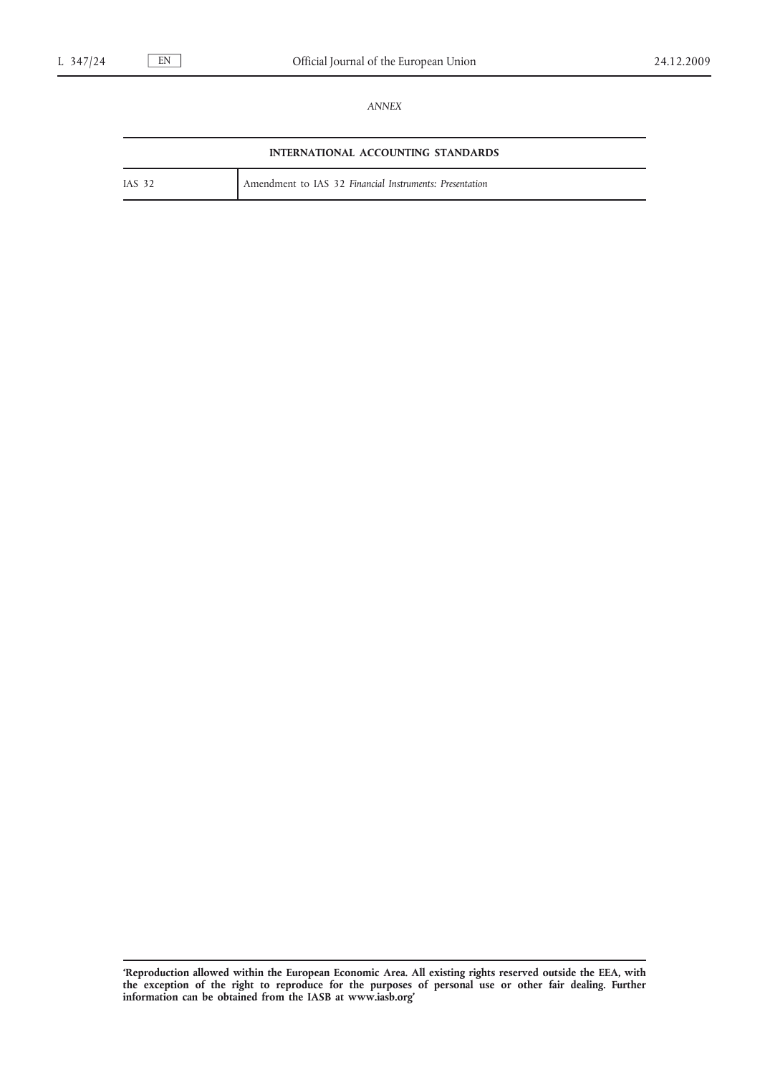*ANNEX*

| INTERNATIONAL ACCOUNTING STANDARDS |                                                         |
|------------------------------------|---------------------------------------------------------|
| <b>IAS 32</b>                      | Amendment to IAS 32 Financial Instruments: Presentation |

**<sup>&#</sup>x27;Reproduction allowed within the European Economic Area. All existing rights reserved outside the EEA, with the exception of the right to reproduce for the purposes of personal use or other fair dealing. Further information can be obtained from the IASB at [www.iasb.org](http://www.iasb.org)'**